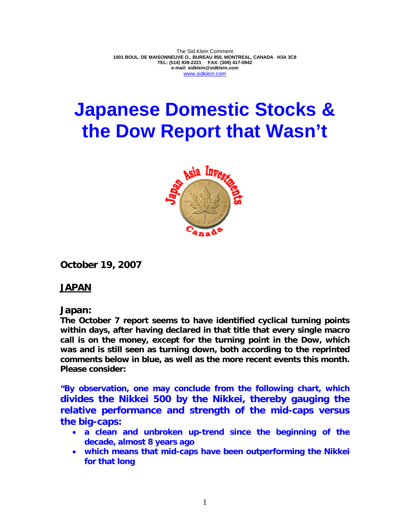The Sid Klein Comment **1001 BOUL. DE MAISONNEUVE O., BUREAU 950, MONTREAL, CANADA H3A 3C8 TEL: (514) 939-2221 FAX: (309) 417-0942 e-mail: sidklein@sidklein.com**  www.sidklein.com

# **Japanese Domestic Stocks & the Dow Report that Wasn't**



**October 19, 2007** 

# **JAPAN**

# **Japan:**

**The October 7 report seems to have identified cyclical turning points within days, after having declared in that title that every single macro call is on the money, except for the turning point in the Dow, which was and is still seen as turning down, both according to the reprinted comments below in blue, as well as the more recent events this month. Please consider:** 

**"By observation, one may conclude from the following chart, which divides the Nikkei 500 by the Nikkei, thereby gauging the relative performance and strength of the mid-caps versus the big-caps:** 

- **a clean and unbroken up-trend since the beginning of the decade, almost 8 years ago**
- **which means that mid-caps have been outperforming the Nikkei for that long**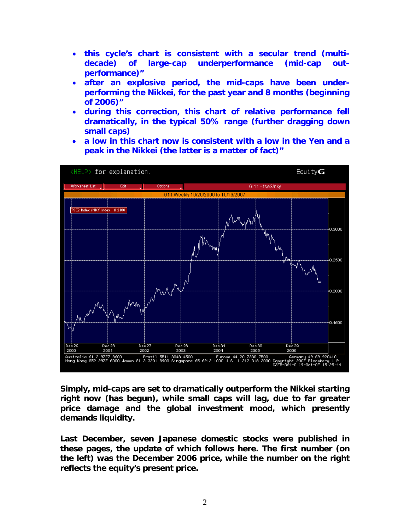- **this cycle's chart is consistent with a secular trend (multidecade) of large-cap underperformance (mid-cap outperformance)"**
- **after an explosive period, the mid-caps have been underperforming the Nikkei, for the past year and 8 months (beginning of 2006)"**
- **during this correction, this chart of relative performance fell dramatically, in the typical 50% range (further dragging down small caps)**
- **a low in this chart now is consistent with a low in the Yen and a peak in the Nikkei (the latter is a matter of fact)"**



**Simply, mid-caps are set to dramatically outperform the Nikkei starting right now (has begun), while small caps will lag, due to far greater price damage and the global investment mood, which presently demands liquidity.** 

**Last December, seven Japanese domestic stocks were published in these pages, the update of which follows here. The first number (on the left) was the December 2006 price, while the number on the right reflects the equity's present price.**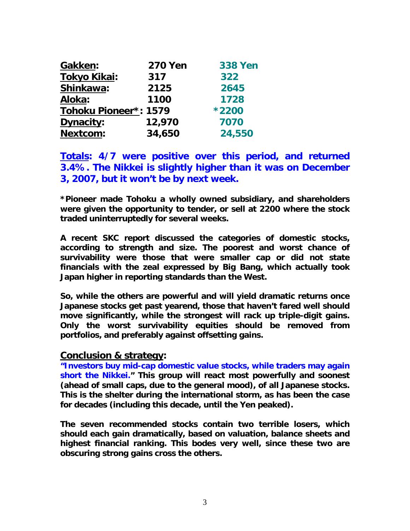| Gakken:               | <b>270 Yen</b> | <b>338 Yen</b> |
|-----------------------|----------------|----------------|
| <b>Tokyo Kikai:</b>   | 317            | 322            |
| Shinkawa:             | 2125           | 2645           |
| Aloka:                | 1100           | 1728           |
| Tohoku Pioneer*: 1579 |                | *2200          |
| Dynacity:             | 12,970         | 7070           |
| <b>Nextcom:</b>       | 34,650         | 24,550         |

**Totals: 4/7 were positive over this period, and returned 3.4%. The Nikkei is slightly higher than it was on December 3, 2007, but it won't be by next week.** 

**\*Pioneer made Tohoku a wholly owned subsidiary, and shareholders were given the opportunity to tender, or sell at 2200 where the stock traded uninterruptedly for several weeks.** 

**A recent SKC report discussed the categories of domestic stocks, according to strength and size. The poorest and worst chance of survivability were those that were smaller cap or did not state financials with the zeal expressed by Big Bang, which actually took Japan higher in reporting standards than the West.** 

**So, while the others are powerful and will yield dramatic returns once Japanese stocks get past yearend, those that haven't fared well should move significantly, while the strongest will rack up triple-digit gains. Only the worst survivability equities should be removed from portfolios, and preferably against offsetting gains.** 

**Conclusion & strategy:** 

**"Investors buy mid-cap domestic value stocks, while traders may again short the Nikkei." This group will react most powerfully and soonest (ahead of small caps, due to the general mood), of all Japanese stocks. This is the shelter during the international storm, as has been the case for decades (including this decade, until the Yen peaked).** 

**The seven recommended stocks contain two terrible losers, which should each gain dramatically, based on valuation, balance sheets and highest financial ranking. This bodes very well, since these two are obscuring strong gains cross the others.**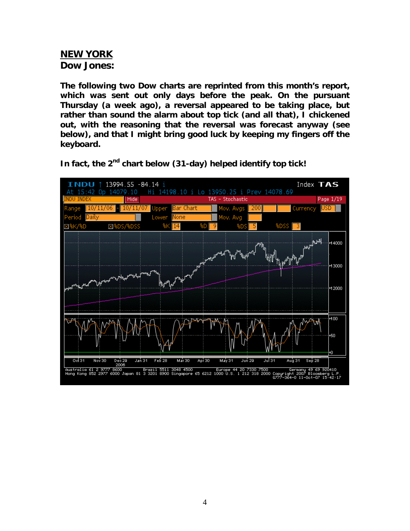### **NEW YORK Dow Jones:**

**The following two Dow charts are reprinted from this month's report, which was sent out only days before the peak. On the pursuant Thursday (a week ago), a reversal appeared to be taking place, but rather than sound the alarm about top tick (and all that), I chickened out, with the reasoning that the reversal was forecast anyway (see below), and that I might bring good luck by keeping my fingers off the keyboard.** 



In fact, the 2<sup>nd</sup> chart below (31-day) helped identify top tick!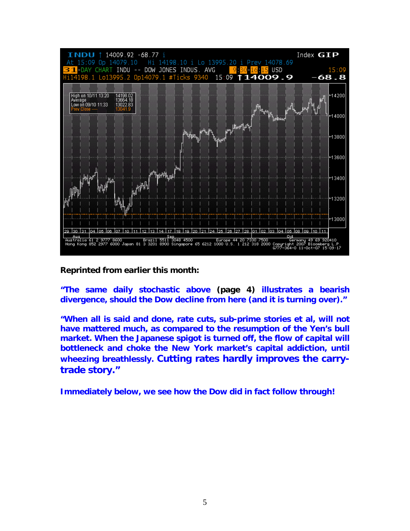

**Reprinted from earlier this month:** 

**"The same daily stochastic above (page 4) illustrates a bearish divergence, should the Dow decline from here (and it is turning over)."** 

**"When all is said and done, rate cuts, sub-prime stories et al, will not have mattered much, as compared to the resumption of the Yen's bull market. When the Japanese spigot is turned off, the flow of capital will bottleneck and choke the New York market's capital addiction, until wheezing breathlessly. Cutting rates hardly improves the carrytrade story."** 

**Immediately below, we see how the Dow did in fact follow through!**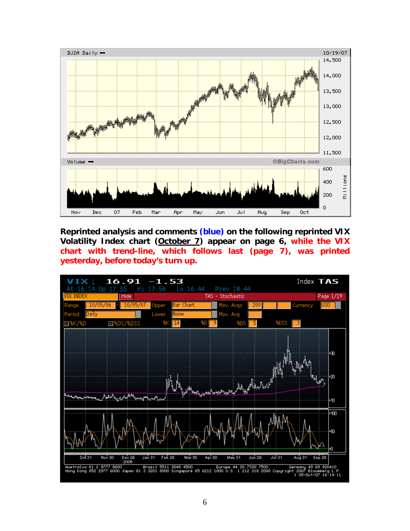

**Reprinted analysis and comments (blue) on the following reprinted VIX Volatility Index chart (October 7) appear on page 6, while the VIX chart with trend-line, which follows last (page 7), was printed yesterday, before today's turn up.** 

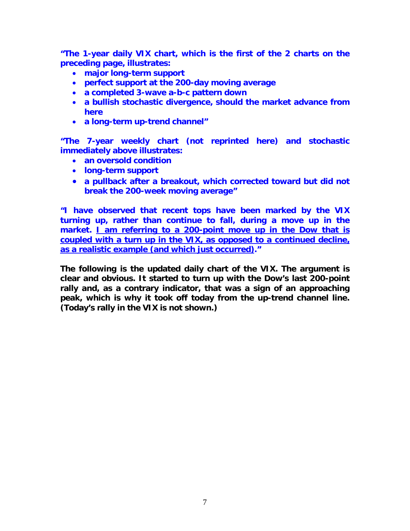**"The 1-year daily VIX chart, which is the first of the 2 charts on the preceding page, illustrates:** 

- **major long-term support**
- **perfect support at the 200-day moving average**
- **a completed 3-wave a-b-c pattern down**
- **a bullish stochastic divergence, should the market advance from here**
- **a long-term up-trend channel"**

**"The 7-year weekly chart (not reprinted here) and stochastic immediately above illustrates:** 

- **an oversold condition**
- **long-term support**
- **a pullback after a breakout, which corrected toward but did not break the 200-week moving average"**

**"I have observed that recent tops have been marked by the VIX turning up, rather than continue to fall, during a move up in the market. I am referring to a 200-point move up in the Dow that is coupled with a turn up in the VIX, as opposed to a continued decline, as a realistic example (and which just occurred)."** 

**The following is the updated daily chart of the VIX. The argument is clear and obvious. It started to turn up with the Dow's last 200-point rally and, as a contrary indicator, that was a sign of an approaching peak, which is why it took off today from the up-trend channel line. (Today's rally in the VIX is not shown.)**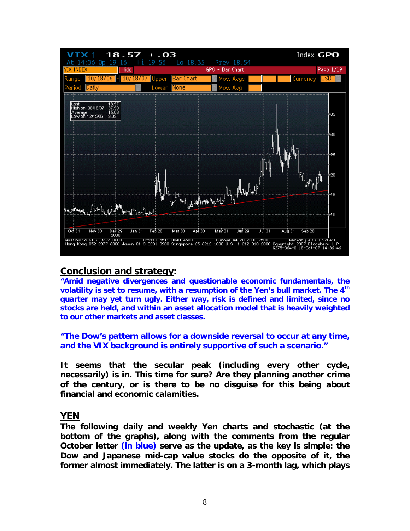

### **Conclusion and strategy:**

**"Amid negative divergences and questionable economic fundamentals, the**  volatility is set to resume, with a resumption of the Yen's bull market. The 4<sup>th</sup> **quarter may yet turn ugly. Either way, risk is defined and limited, since no stocks are held, and within an asset allocation model that is heavily weighted to our other markets and asset classes.** 

**"The Dow's pattern allows for a downside reversal to occur at any time, and the VIX background is entirely supportive of such a scenario."** 

**It seems that the secular peak (including every other cycle, necessarily) is in. This time for sure? Are they planning another crime of the century, or is there to be no disguise for this being about financial and economic calamities.** 

#### **YEN**

**The following daily and weekly Yen charts and stochastic (at the bottom of the graphs), along with the comments from the regular October letter (in blue) serve as the update, as the key is simple: the Dow and Japanese mid-cap value stocks do the opposite of it, the former almost immediately. The latter is on a 3-month lag, which plays**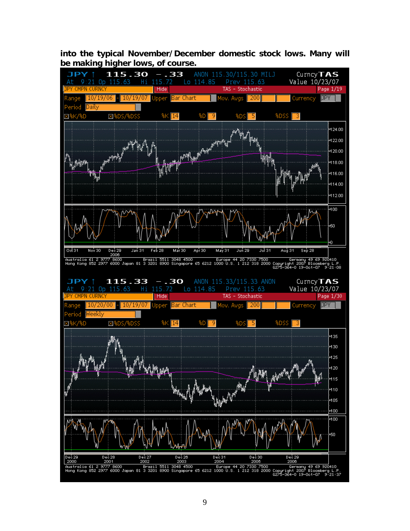**into the typical November/December domestic stock lows. Many will be making higher lows, of course.**